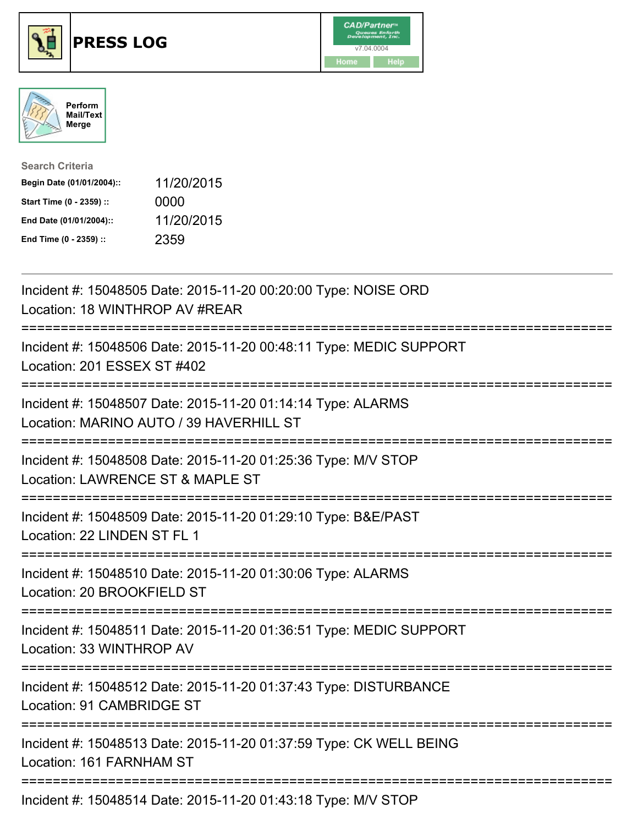





| <b>Search Criteria</b>    |            |
|---------------------------|------------|
| Begin Date (01/01/2004):: | 11/20/2015 |
| Start Time (0 - 2359) ::  | 0000       |
| End Date (01/01/2004)::   | 11/20/2015 |
| End Time (0 - 2359) ::    | 2359       |

| Incident #: 15048505 Date: 2015-11-20 00:20:00 Type: NOISE ORD<br>Location: 18 WINTHROP AV #REAR                 |
|------------------------------------------------------------------------------------------------------------------|
| Incident #: 15048506 Date: 2015-11-20 00:48:11 Type: MEDIC SUPPORT<br>Location: 201 ESSEX ST #402<br>----------  |
| Incident #: 15048507 Date: 2015-11-20 01:14:14 Type: ALARMS<br>Location: MARINO AUTO / 39 HAVERHILL ST           |
| Incident #: 15048508 Date: 2015-11-20 01:25:36 Type: M/V STOP<br>Location: LAWRENCE ST & MAPLE ST<br>=========== |
| Incident #: 15048509 Date: 2015-11-20 01:29:10 Type: B&E/PAST<br>Location: 22 LINDEN ST FL 1                     |
| Incident #: 15048510 Date: 2015-11-20 01:30:06 Type: ALARMS<br>Location: 20 BROOKFIELD ST                        |
| Incident #: 15048511 Date: 2015-11-20 01:36:51 Type: MEDIC SUPPORT<br>Location: 33 WINTHROP AV                   |
| Incident #: 15048512 Date: 2015-11-20 01:37:43 Type: DISTURBANCE<br>Location: 91 CAMBRIDGE ST                    |
| Incident #: 15048513 Date: 2015-11-20 01:37:59 Type: CK WELL BEING<br>Location: 161 FARNHAM ST                   |
| Incident #: 15048514 Date: 2015-11-20 01:43:18 Type: M/V STOP                                                    |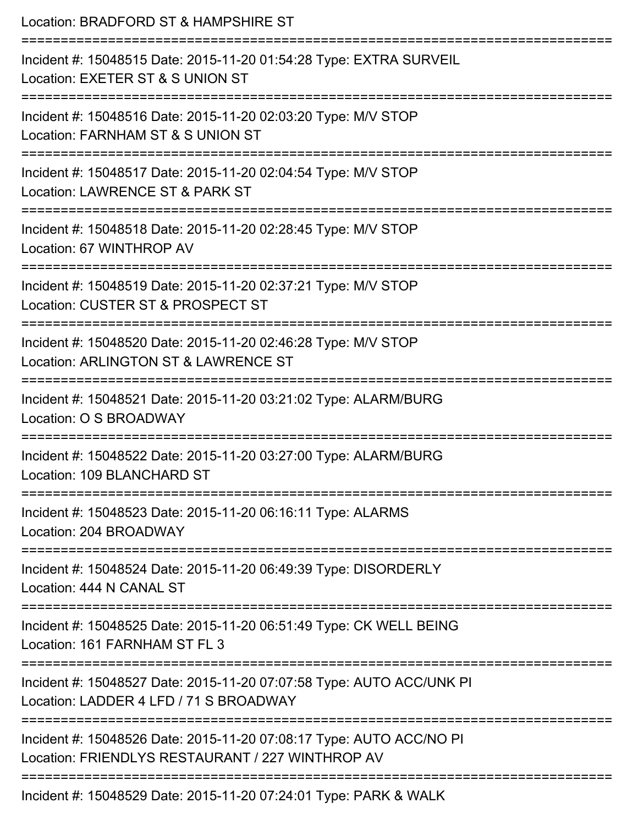| Location: BRADFORD ST & HAMPSHIRE ST                                                                                       |
|----------------------------------------------------------------------------------------------------------------------------|
| Incident #: 15048515 Date: 2015-11-20 01:54:28 Type: EXTRA SURVEIL<br>Location: EXETER ST & S UNION ST                     |
| Incident #: 15048516 Date: 2015-11-20 02:03:20 Type: M/V STOP<br>Location: FARNHAM ST & S UNION ST                         |
| Incident #: 15048517 Date: 2015-11-20 02:04:54 Type: M/V STOP<br>Location: LAWRENCE ST & PARK ST                           |
| Incident #: 15048518 Date: 2015-11-20 02:28:45 Type: M/V STOP<br>Location: 67 WINTHROP AV                                  |
| Incident #: 15048519 Date: 2015-11-20 02:37:21 Type: M/V STOP<br>Location: CUSTER ST & PROSPECT ST<br>==================== |
| Incident #: 15048520 Date: 2015-11-20 02:46:28 Type: M/V STOP<br>Location: ARLINGTON ST & LAWRENCE ST                      |
| Incident #: 15048521 Date: 2015-11-20 03:21:02 Type: ALARM/BURG<br>Location: O S BROADWAY                                  |
| Incident #: 15048522 Date: 2015-11-20 03:27:00 Type: ALARM/BURG<br>Location: 109 BLANCHARD ST                              |
| Incident #: 15048523 Date: 2015-11-20 06:16:11 Type: ALARMS<br>Location: 204 BROADWAY                                      |
| Incident #: 15048524 Date: 2015-11-20 06:49:39 Type: DISORDERLY<br>Location: 444 N CANAL ST                                |
| Incident #: 15048525 Date: 2015-11-20 06:51:49 Type: CK WELL BEING<br>Location: 161 FARNHAM ST FL 3                        |
| Incident #: 15048527 Date: 2015-11-20 07:07:58 Type: AUTO ACC/UNK PI<br>Location: LADDER 4 LFD / 71 S BROADWAY             |
| Incident #: 15048526 Date: 2015-11-20 07:08:17 Type: AUTO ACC/NO PI<br>Location: FRIENDLYS RESTAURANT / 227 WINTHROP AV    |
| Incident #: 15048529 Date: 2015-11-20 07:24:01 Type: PARK & WALK                                                           |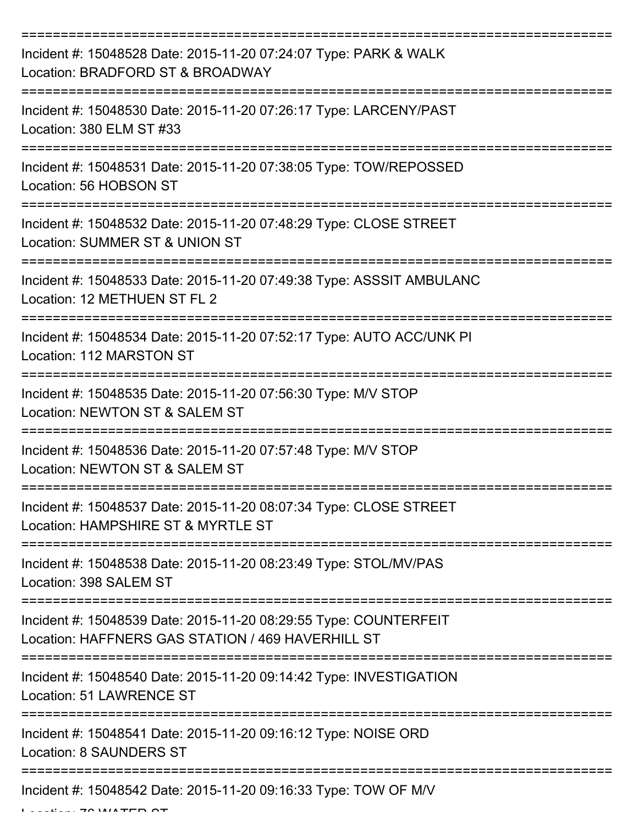| Incident #: 15048528 Date: 2015-11-20 07:24:07 Type: PARK & WALK<br>Location: BRADFORD ST & BROADWAY                  |
|-----------------------------------------------------------------------------------------------------------------------|
| Incident #: 15048530 Date: 2015-11-20 07:26:17 Type: LARCENY/PAST<br>Location: 380 ELM ST #33                         |
| Incident #: 15048531 Date: 2015-11-20 07:38:05 Type: TOW/REPOSSED<br>Location: 56 HOBSON ST                           |
| Incident #: 15048532 Date: 2015-11-20 07:48:29 Type: CLOSE STREET<br>Location: SUMMER ST & UNION ST                   |
| Incident #: 15048533 Date: 2015-11-20 07:49:38 Type: ASSSIT AMBULANC<br>Location: 12 METHUEN ST FL 2                  |
| Incident #: 15048534 Date: 2015-11-20 07:52:17 Type: AUTO ACC/UNK PI<br>Location: 112 MARSTON ST                      |
| Incident #: 15048535 Date: 2015-11-20 07:56:30 Type: M/V STOP<br>Location: NEWTON ST & SALEM ST                       |
| Incident #: 15048536 Date: 2015-11-20 07:57:48 Type: M/V STOP<br>Location: NEWTON ST & SALEM ST                       |
| Incident #: 15048537 Date: 2015-11-20 08:07:34 Type: CLOSE STREET<br>Location: HAMPSHIRE ST & MYRTLE ST               |
| Incident #: 15048538 Date: 2015-11-20 08:23:49 Type: STOL/MV/PAS<br>Location: 398 SALEM ST                            |
| Incident #: 15048539 Date: 2015-11-20 08:29:55 Type: COUNTERFEIT<br>Location: HAFFNERS GAS STATION / 469 HAVERHILL ST |
| Incident #: 15048540 Date: 2015-11-20 09:14:42 Type: INVESTIGATION<br>Location: 51 LAWRENCE ST                        |
| Incident #: 15048541 Date: 2015-11-20 09:16:12 Type: NOISE ORD<br><b>Location: 8 SAUNDERS ST</b>                      |
| Incident #: 15048542 Date: 2015-11-20 09:16:33 Type: TOW OF M/V<br>I I 70 WILTED 07                                   |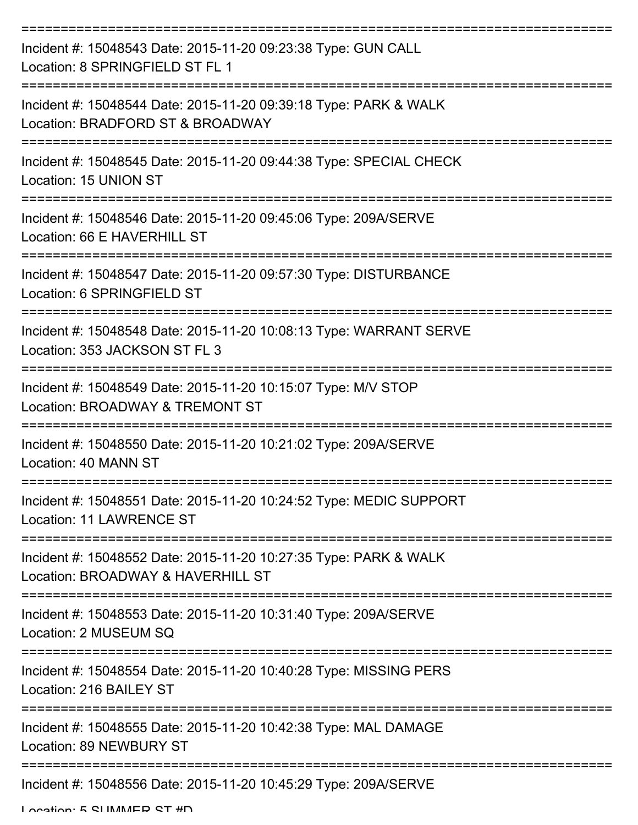| Incident #: 15048543 Date: 2015-11-20 09:23:38 Type: GUN CALL<br>Location: 8 SPRINGFIELD ST FL 1      |
|-------------------------------------------------------------------------------------------------------|
| Incident #: 15048544 Date: 2015-11-20 09:39:18 Type: PARK & WALK<br>Location: BRADFORD ST & BROADWAY  |
| Incident #: 15048545 Date: 2015-11-20 09:44:38 Type: SPECIAL CHECK<br>Location: 15 UNION ST           |
| Incident #: 15048546 Date: 2015-11-20 09:45:06 Type: 209A/SERVE<br>Location: 66 E HAVERHILL ST        |
| Incident #: 15048547 Date: 2015-11-20 09:57:30 Type: DISTURBANCE<br>Location: 6 SPRINGFIELD ST        |
| Incident #: 15048548 Date: 2015-11-20 10:08:13 Type: WARRANT SERVE<br>Location: 353 JACKSON ST FL 3   |
| Incident #: 15048549 Date: 2015-11-20 10:15:07 Type: M/V STOP<br>Location: BROADWAY & TREMONT ST      |
| Incident #: 15048550 Date: 2015-11-20 10:21:02 Type: 209A/SERVE<br>Location: 40 MANN ST               |
| Incident #: 15048551 Date: 2015-11-20 10:24:52 Type: MEDIC SUPPORT<br>Location: 11 LAWRENCE ST        |
| Incident #: 15048552 Date: 2015-11-20 10:27:35 Type: PARK & WALK<br>Location: BROADWAY & HAVERHILL ST |
| Incident #: 15048553 Date: 2015-11-20 10:31:40 Type: 209A/SERVE<br>Location: 2 MUSEUM SQ              |
| Incident #: 15048554 Date: 2015-11-20 10:40:28 Type: MISSING PERS<br>Location: 216 BAILEY ST          |
| Incident #: 15048555 Date: 2015-11-20 10:42:38 Type: MAL DAMAGE<br>Location: 89 NEWBURY ST            |
| Incident #: 15048556 Date: 2015-11-20 10:45:29 Type: 209A/SERVE                                       |

Location: E CLIMMED CT #D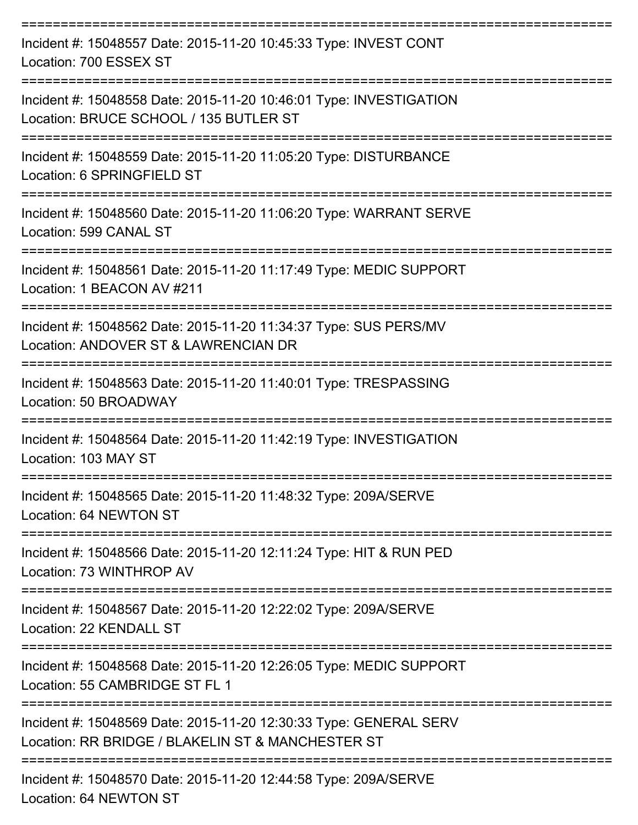| Incident #: 15048557 Date: 2015-11-20 10:45:33 Type: INVEST CONT<br>Location: 700 ESSEX ST                             |
|------------------------------------------------------------------------------------------------------------------------|
| Incident #: 15048558 Date: 2015-11-20 10:46:01 Type: INVESTIGATION<br>Location: BRUCE SCHOOL / 135 BUTLER ST           |
| Incident #: 15048559 Date: 2015-11-20 11:05:20 Type: DISTURBANCE<br>Location: 6 SPRINGFIELD ST                         |
| Incident #: 15048560 Date: 2015-11-20 11:06:20 Type: WARRANT SERVE<br>Location: 599 CANAL ST                           |
| Incident #: 15048561 Date: 2015-11-20 11:17:49 Type: MEDIC SUPPORT<br>Location: 1 BEACON AV #211                       |
| Incident #: 15048562 Date: 2015-11-20 11:34:37 Type: SUS PERS/MV<br>Location: ANDOVER ST & LAWRENCIAN DR               |
| Incident #: 15048563 Date: 2015-11-20 11:40:01 Type: TRESPASSING<br>Location: 50 BROADWAY                              |
| Incident #: 15048564 Date: 2015-11-20 11:42:19 Type: INVESTIGATION<br>Location: 103 MAY ST                             |
| Incident #: 15048565 Date: 2015-11-20 11:48:32 Type: 209A/SERVE<br>Location: 64 NEWTON ST                              |
| Incident #: 15048566 Date: 2015-11-20 12:11:24 Type: HIT & RUN PED<br>Location: 73 WINTHROP AV                         |
| Incident #: 15048567 Date: 2015-11-20 12:22:02 Type: 209A/SERVE<br>Location: 22 KENDALL ST                             |
| Incident #: 15048568 Date: 2015-11-20 12:26:05 Type: MEDIC SUPPORT<br>Location: 55 CAMBRIDGE ST FL 1                   |
| Incident #: 15048569 Date: 2015-11-20 12:30:33 Type: GENERAL SERV<br>Location: RR BRIDGE / BLAKELIN ST & MANCHESTER ST |
| Incident #: 15048570 Date: 2015-11-20 12:44:58 Type: 209A/SERVE<br>Location: 64 NEWTON ST                              |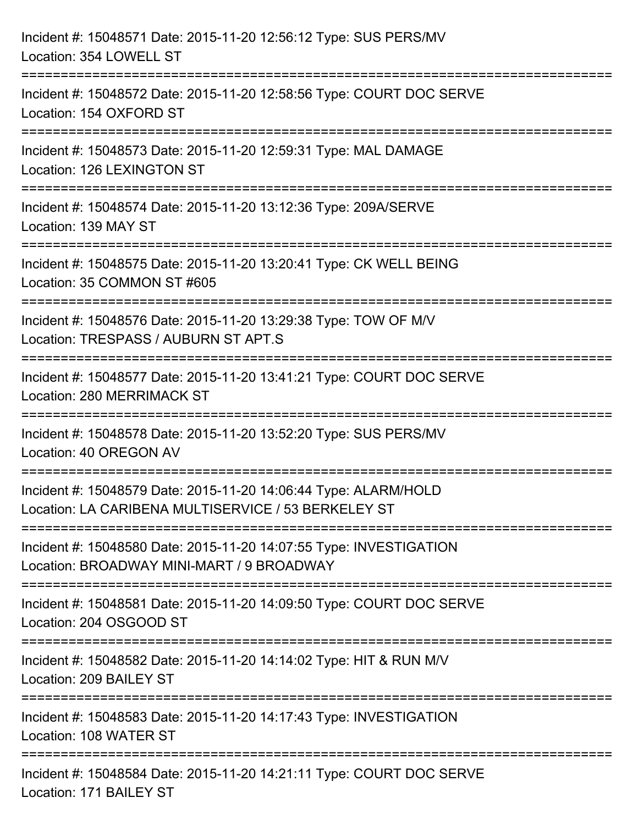| Incident #: 15048571 Date: 2015-11-20 12:56:12 Type: SUS PERS/MV<br>Location: 354 LOWELL ST                                 |
|-----------------------------------------------------------------------------------------------------------------------------|
| Incident #: 15048572 Date: 2015-11-20 12:58:56 Type: COURT DOC SERVE<br>Location: 154 OXFORD ST                             |
| Incident #: 15048573 Date: 2015-11-20 12:59:31 Type: MAL DAMAGE<br>Location: 126 LEXINGTON ST                               |
| Incident #: 15048574 Date: 2015-11-20 13:12:36 Type: 209A/SERVE<br>Location: 139 MAY ST                                     |
| Incident #: 15048575 Date: 2015-11-20 13:20:41 Type: CK WELL BEING<br>Location: 35 COMMON ST #605                           |
| Incident #: 15048576 Date: 2015-11-20 13:29:38 Type: TOW OF M/V<br>Location: TRESPASS / AUBURN ST APT.S                     |
| :====================<br>Incident #: 15048577 Date: 2015-11-20 13:41:21 Type: COURT DOC SERVE<br>Location: 280 MERRIMACK ST |
| Incident #: 15048578 Date: 2015-11-20 13:52:20 Type: SUS PERS/MV<br>Location: 40 OREGON AV                                  |
| Incident #: 15048579 Date: 2015-11-20 14:06:44 Type: ALARM/HOLD<br>Location: LA CARIBENA MULTISERVICE / 53 BERKELEY ST      |
| Incident #: 15048580 Date: 2015-11-20 14:07:55 Type: INVESTIGATION<br>Location: BROADWAY MINI-MART / 9 BROADWAY             |
| Incident #: 15048581 Date: 2015-11-20 14:09:50 Type: COURT DOC SERVE<br>Location: 204 OSGOOD ST                             |
| Incident #: 15048582 Date: 2015-11-20 14:14:02 Type: HIT & RUN M/V<br>Location: 209 BAILEY ST                               |
| Incident #: 15048583 Date: 2015-11-20 14:17:43 Type: INVESTIGATION<br>Location: 108 WATER ST                                |
| Incident #: 15048584 Date: 2015-11-20 14:21:11 Type: COURT DOC SERVE<br>Location: 171 BAILEY ST                             |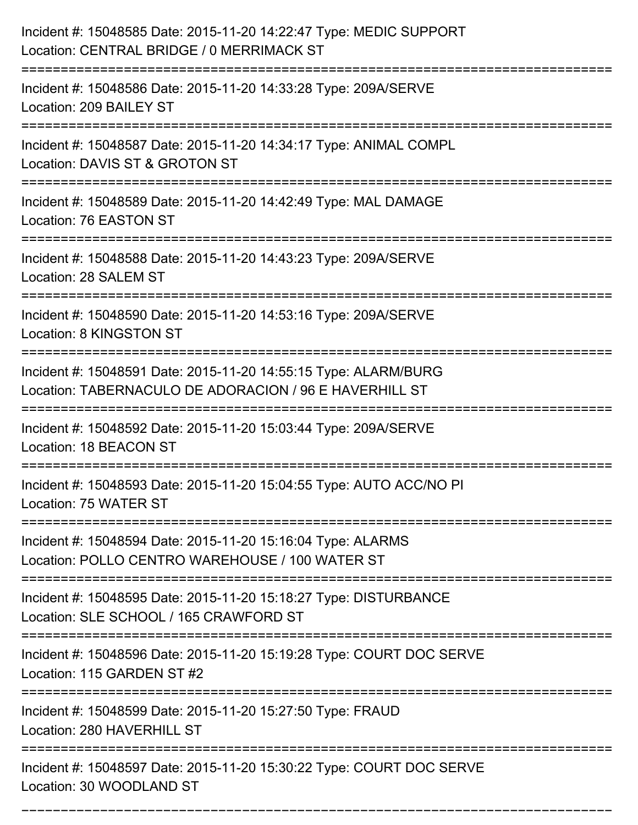| Incident #: 15048585 Date: 2015-11-20 14:22:47 Type: MEDIC SUPPORT<br>Location: CENTRAL BRIDGE / 0 MERRIMACK ST           |
|---------------------------------------------------------------------------------------------------------------------------|
| Incident #: 15048586 Date: 2015-11-20 14:33:28 Type: 209A/SERVE<br>Location: 209 BAILEY ST                                |
| Incident #: 15048587 Date: 2015-11-20 14:34:17 Type: ANIMAL COMPL<br>Location: DAVIS ST & GROTON ST                       |
| Incident #: 15048589 Date: 2015-11-20 14:42:49 Type: MAL DAMAGE<br>Location: 76 EASTON ST                                 |
| Incident #: 15048588 Date: 2015-11-20 14:43:23 Type: 209A/SERVE<br>Location: 28 SALEM ST                                  |
| Incident #: 15048590 Date: 2015-11-20 14:53:16 Type: 209A/SERVE<br>Location: 8 KINGSTON ST                                |
| Incident #: 15048591 Date: 2015-11-20 14:55:15 Type: ALARM/BURG<br>Location: TABERNACULO DE ADORACION / 96 E HAVERHILL ST |
| Incident #: 15048592 Date: 2015-11-20 15:03:44 Type: 209A/SERVE<br>Location: 18 BEACON ST                                 |
| Incident #: 15048593 Date: 2015-11-20 15:04:55 Type: AUTO ACC/NO PI<br>Location: 75 WATER ST                              |
| Incident #: 15048594 Date: 2015-11-20 15:16:04 Type: ALARMS<br>Location: POLLO CENTRO WAREHOUSE / 100 WATER ST            |
| Incident #: 15048595 Date: 2015-11-20 15:18:27 Type: DISTURBANCE<br>Location: SLE SCHOOL / 165 CRAWFORD ST                |
| Incident #: 15048596 Date: 2015-11-20 15:19:28 Type: COURT DOC SERVE<br>Location: 115 GARDEN ST #2                        |
| Incident #: 15048599 Date: 2015-11-20 15:27:50 Type: FRAUD<br>Location: 280 HAVERHILL ST                                  |
| Incident #: 15048597 Date: 2015-11-20 15:30:22 Type: COURT DOC SERVE<br>Location: 30 WOODLAND ST                          |

===========================================================================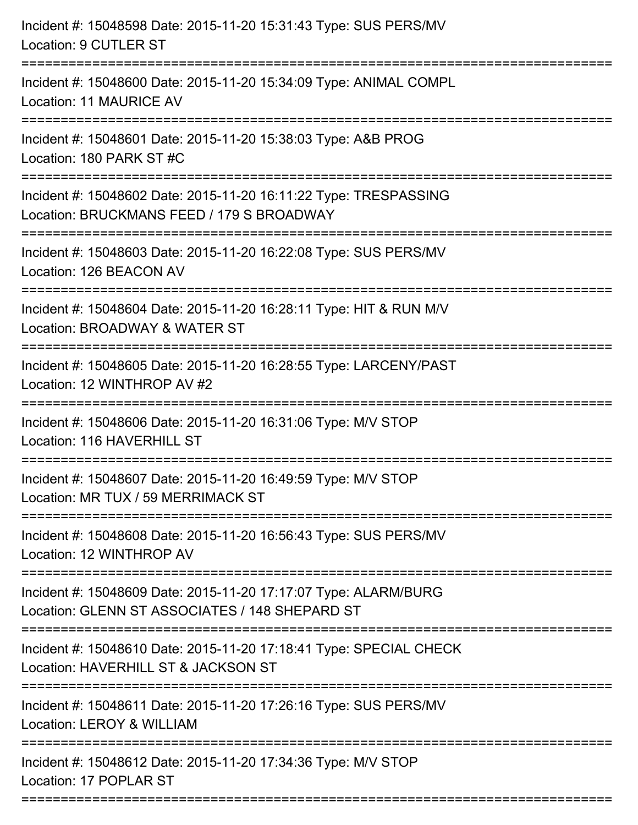| Incident #: 15048598 Date: 2015-11-20 15:31:43 Type: SUS PERS/MV<br>Location: 9 CUTLER ST                                              |
|----------------------------------------------------------------------------------------------------------------------------------------|
| Incident #: 15048600 Date: 2015-11-20 15:34:09 Type: ANIMAL COMPL<br>Location: 11 MAURICE AV                                           |
| Incident #: 15048601 Date: 2015-11-20 15:38:03 Type: A&B PROG<br>Location: 180 PARK ST #C                                              |
| Incident #: 15048602 Date: 2015-11-20 16:11:22 Type: TRESPASSING<br>Location: BRUCKMANS FEED / 179 S BROADWAY                          |
| Incident #: 15048603 Date: 2015-11-20 16:22:08 Type: SUS PERS/MV<br>Location: 126 BEACON AV<br>-------------------------------         |
| Incident #: 15048604 Date: 2015-11-20 16:28:11 Type: HIT & RUN M/V<br>Location: BROADWAY & WATER ST                                    |
| Incident #: 15048605 Date: 2015-11-20 16:28:55 Type: LARCENY/PAST<br>Location: 12 WINTHROP AV #2<br>================================== |
| Incident #: 15048606 Date: 2015-11-20 16:31:06 Type: M/V STOP<br>Location: 116 HAVERHILL ST                                            |
| Incident #: 15048607 Date: 2015-11-20 16:49:59 Type: M/V STOP<br>Location: MR TUX / 59 MERRIMACK ST                                    |
| Incident #: 15048608 Date: 2015-11-20 16:56:43 Type: SUS PERS/MV<br>Location: 12 WINTHROP AV                                           |
| Incident #: 15048609 Date: 2015-11-20 17:17:07 Type: ALARM/BURG<br>Location: GLENN ST ASSOCIATES / 148 SHEPARD ST                      |
| Incident #: 15048610 Date: 2015-11-20 17:18:41 Type: SPECIAL CHECK<br>Location: HAVERHILL ST & JACKSON ST                              |
| Incident #: 15048611 Date: 2015-11-20 17:26:16 Type: SUS PERS/MV<br>Location: LEROY & WILLIAM                                          |
| Incident #: 15048612 Date: 2015-11-20 17:34:36 Type: M/V STOP<br>Location: 17 POPLAR ST                                                |
|                                                                                                                                        |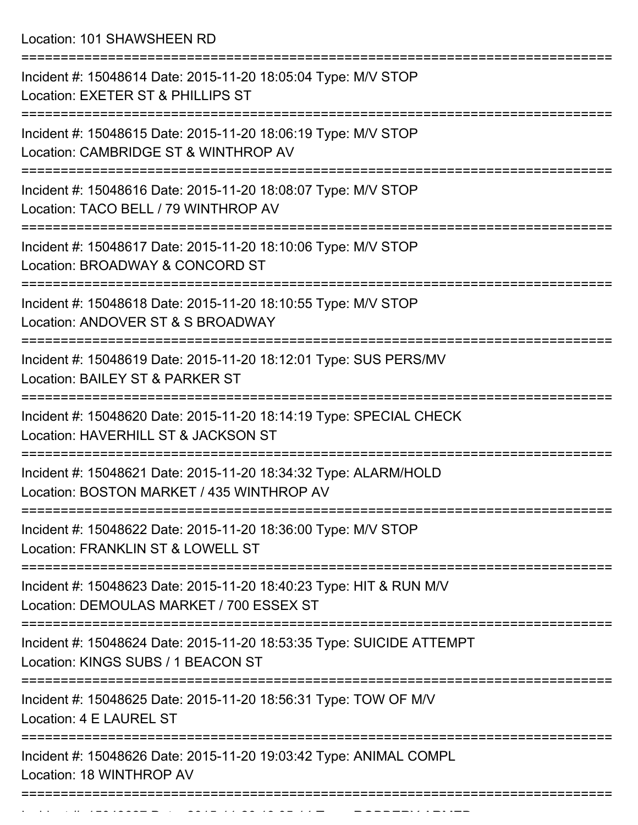Location: 101 SHAWSHEEN RD

| Incident #: 15048614 Date: 2015-11-20 18:05:04 Type: M/V STOP<br>Location: EXETER ST & PHILLIPS ST             |
|----------------------------------------------------------------------------------------------------------------|
| Incident #: 15048615 Date: 2015-11-20 18:06:19 Type: M/V STOP<br>Location: CAMBRIDGE ST & WINTHROP AV          |
| Incident #: 15048616 Date: 2015-11-20 18:08:07 Type: M/V STOP<br>Location: TACO BELL / 79 WINTHROP AV          |
| Incident #: 15048617 Date: 2015-11-20 18:10:06 Type: M/V STOP<br>Location: BROADWAY & CONCORD ST               |
| Incident #: 15048618 Date: 2015-11-20 18:10:55 Type: M/V STOP<br>Location: ANDOVER ST & S BROADWAY             |
| Incident #: 15048619 Date: 2015-11-20 18:12:01 Type: SUS PERS/MV<br>Location: BAILEY ST & PARKER ST            |
| Incident #: 15048620 Date: 2015-11-20 18:14:19 Type: SPECIAL CHECK<br>Location: HAVERHILL ST & JACKSON ST      |
| Incident #: 15048621 Date: 2015-11-20 18:34:32 Type: ALARM/HOLD<br>Location: BOSTON MARKET / 435 WINTHROP AV   |
| Incident #: 15048622 Date: 2015-11-20 18:36:00 Type: M/V STOP<br>Location: FRANKLIN ST & LOWELL ST             |
| Incident #: 15048623 Date: 2015-11-20 18:40:23 Type: HIT & RUN M/V<br>Location: DEMOULAS MARKET / 700 ESSEX ST |
| Incident #: 15048624 Date: 2015-11-20 18:53:35 Type: SUICIDE ATTEMPT<br>Location: KINGS SUBS / 1 BEACON ST     |
| Incident #: 15048625 Date: 2015-11-20 18:56:31 Type: TOW OF M/V<br>Location: 4 E LAUREL ST                     |
| Incident #: 15048626 Date: 2015-11-20 19:03:42 Type: ANIMAL COMPL<br>Location: 18 WINTHROP AV                  |
|                                                                                                                |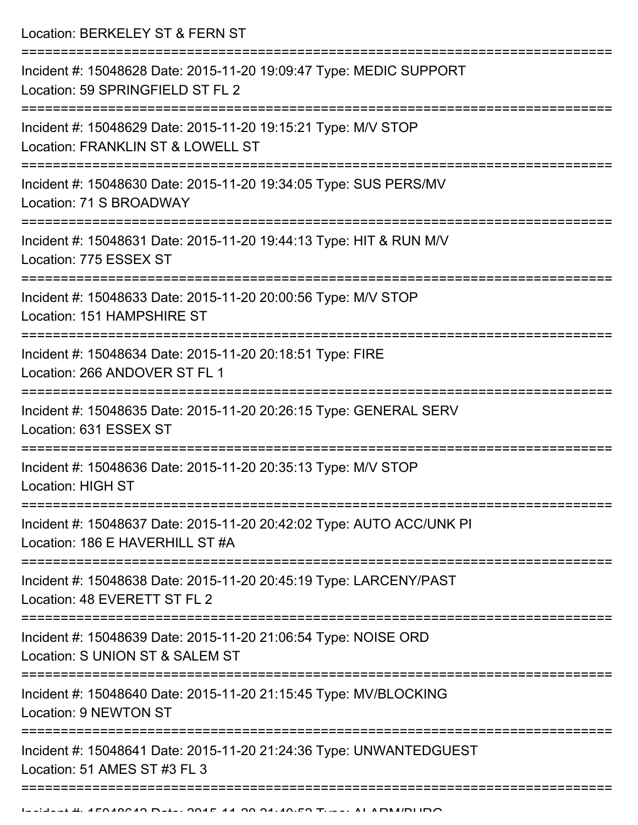Location: BERKELEY ST & FERN ST

| Incident #: 15048628 Date: 2015-11-20 19:09:47 Type: MEDIC SUPPORT<br>Location: 59 SPRINGFIELD ST FL 2  |
|---------------------------------------------------------------------------------------------------------|
| Incident #: 15048629 Date: 2015-11-20 19:15:21 Type: M/V STOP<br>Location: FRANKLIN ST & LOWELL ST      |
| Incident #: 15048630 Date: 2015-11-20 19:34:05 Type: SUS PERS/MV<br>Location: 71 S BROADWAY             |
| Incident #: 15048631 Date: 2015-11-20 19:44:13 Type: HIT & RUN M/V<br>Location: 775 ESSEX ST            |
| Incident #: 15048633 Date: 2015-11-20 20:00:56 Type: M/V STOP<br>Location: 151 HAMPSHIRE ST             |
| Incident #: 15048634 Date: 2015-11-20 20:18:51 Type: FIRE<br>Location: 266 ANDOVER ST FL 1              |
| Incident #: 15048635 Date: 2015-11-20 20:26:15 Type: GENERAL SERV<br>Location: 631 ESSEX ST             |
| Incident #: 15048636 Date: 2015-11-20 20:35:13 Type: M/V STOP<br>Location: HIGH ST                      |
| Incident #: 15048637 Date: 2015-11-20 20:42:02 Type: AUTO ACC/UNK PI<br>Location: 186 E HAVERHILL ST #A |
| Incident #: 15048638 Date: 2015-11-20 20:45:19 Type: LARCENY/PAST<br>Location: 48 EVERETT ST FL 2       |
| Incident #: 15048639 Date: 2015-11-20 21:06:54 Type: NOISE ORD<br>Location: S UNION ST & SALEM ST       |
| Incident #: 15048640 Date: 2015-11-20 21:15:45 Type: MV/BLOCKING<br>Location: 9 NEWTON ST               |
| Incident #: 15048641 Date: 2015-11-20 21:24:36 Type: UNWANTEDGUEST<br>Location: 51 AMES ST #3 FL 3      |
|                                                                                                         |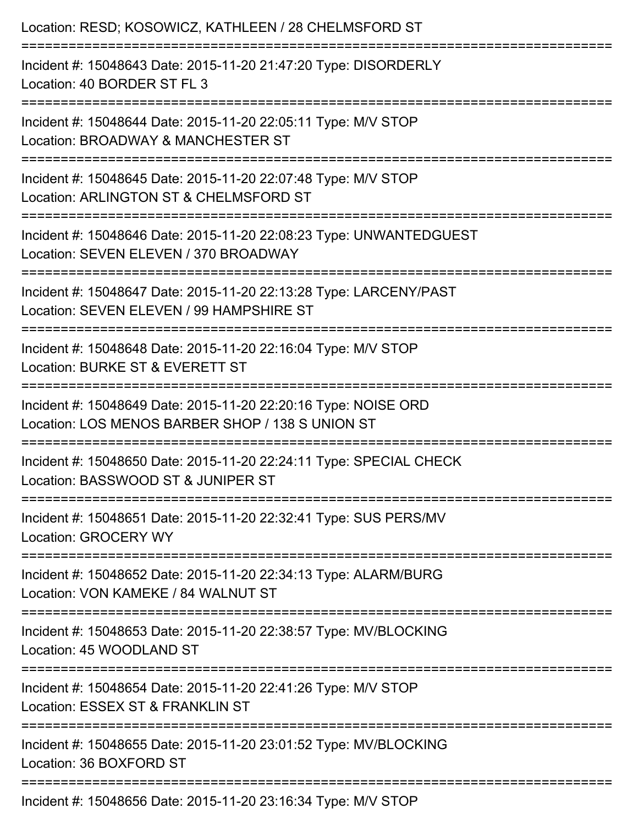| Location: RESD; KOSOWICZ, KATHLEEN / 28 CHELMSFORD ST                                                                                           |
|-------------------------------------------------------------------------------------------------------------------------------------------------|
| Incident #: 15048643 Date: 2015-11-20 21:47:20 Type: DISORDERLY<br>Location: 40 BORDER ST FL 3                                                  |
| Incident #: 15048644 Date: 2015-11-20 22:05:11 Type: M/V STOP<br>Location: BROADWAY & MANCHESTER ST                                             |
| Incident #: 15048645 Date: 2015-11-20 22:07:48 Type: M/V STOP<br>Location: ARLINGTON ST & CHELMSFORD ST                                         |
| ============================<br>Incident #: 15048646 Date: 2015-11-20 22:08:23 Type: UNWANTEDGUEST<br>Location: SEVEN ELEVEN / 370 BROADWAY     |
| Incident #: 15048647 Date: 2015-11-20 22:13:28 Type: LARCENY/PAST<br>Location: SEVEN ELEVEN / 99 HAMPSHIRE ST<br>============================== |
| Incident #: 15048648 Date: 2015-11-20 22:16:04 Type: M/V STOP<br>Location: BURKE ST & EVERETT ST                                                |
| Incident #: 15048649 Date: 2015-11-20 22:20:16 Type: NOISE ORD<br>Location: LOS MENOS BARBER SHOP / 138 S UNION ST                              |
| Incident #: 15048650 Date: 2015-11-20 22:24:11 Type: SPECIAL CHECK<br>Location: BASSWOOD ST & JUNIPER ST                                        |
| Incident #: 15048651 Date: 2015-11-20 22:32:41 Type: SUS PERS/MV<br>Location: GROCERY WY                                                        |
| Incident #: 15048652 Date: 2015-11-20 22:34:13 Type: ALARM/BURG<br>Location: VON KAMEKE / 84 WALNUT ST                                          |
| Incident #: 15048653 Date: 2015-11-20 22:38:57 Type: MV/BLOCKING<br>Location: 45 WOODLAND ST                                                    |
| Incident #: 15048654 Date: 2015-11-20 22:41:26 Type: M/V STOP<br>Location: ESSEX ST & FRANKLIN ST                                               |
| Incident #: 15048655 Date: 2015-11-20 23:01:52 Type: MV/BLOCKING<br>Location: 36 BOXFORD ST                                                     |
| Incident #: 15048656 Date: 2015-11-20 23:16:34 Type: M/V STOP                                                                                   |